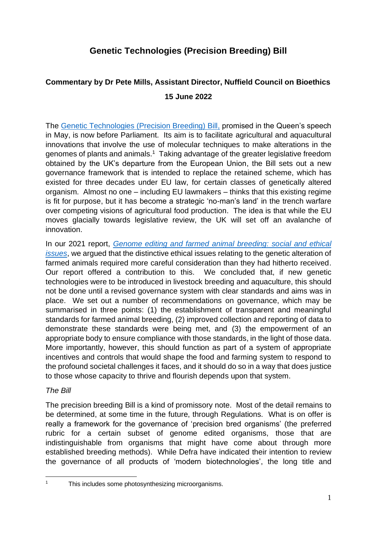## **Genetic Technologies (Precision Breeding) Bill**

# **Commentary by Dr Pete Mills, Assistant Director, Nuffield Council on Bioethics 15 June 2022**

The [Genetic Technologies \(Precision Breeding\) Bill,](https://publications.parliament.uk/pa/bills/cbill/58-03/0011/220011.pdf) promised in the Queen's speech in May, is now before Parliament. Its aim is to facilitate agricultural and aquacultural innovations that involve the use of molecular techniques to make alterations in the genomes of plants and animals.<sup>1</sup> Taking advantage of the greater legislative freedom obtained by the UK's departure from the European Union, the Bill sets out a new governance framework that is intended to replace the retained scheme, which has existed for three decades under EU law, for certain classes of genetically altered organism. Almost no one – including EU lawmakers – thinks that this existing regime is fit for purpose, but it has become a strategic 'no-man's land' in the trench warfare over competing visions of agricultural food production. The idea is that while the EU moves glacially towards legislative review, the UK will set off an avalanche of innovation.

In our 2021 report, *[Genome editing and farmed animal breeding: social and ethical](https://www.nuffieldbioethics.org/publications/genome-editing-and-farmed-animals)  [issues](https://www.nuffieldbioethics.org/publications/genome-editing-and-farmed-animals)*, we argued that the distinctive ethical issues relating to the genetic alteration of farmed animals required more careful consideration than they had hitherto received. Our report offered a contribution to this. We concluded that, if new genetic technologies were to be introduced in livestock breeding and aquaculture, this should not be done until a revised governance system with clear standards and aims was in place. We set out a number of recommendations on governance, which may be summarised in three points: (1) the establishment of transparent and meaningful standards for farmed animal breeding, (2) improved collection and reporting of data to demonstrate these standards were being met, and (3) the empowerment of an appropriate body to ensure compliance with those standards, in the light of those data. More importantly, however, this should function as part of a system of appropriate incentives and controls that would shape the food and farming system to respond to the profound societal challenges it faces, and it should do so in a way that does justice to those whose capacity to thrive and flourish depends upon that system.

## *The Bill*

The precision breeding Bill is a kind of promissory note. Most of the detail remains to be determined, at some time in the future, through Regulations. What is on offer is really a framework for the governance of 'precision bred organisms' (the preferred rubric for a certain subset of genome edited organisms, those that are indistinguishable from organisms that might have come about through more established breeding methods). While Defra have indicated their intention to review the governance of all products of 'modern biotechnologies', the long title and

<sup>1</sup> This includes some photosynthesizing microorganisms.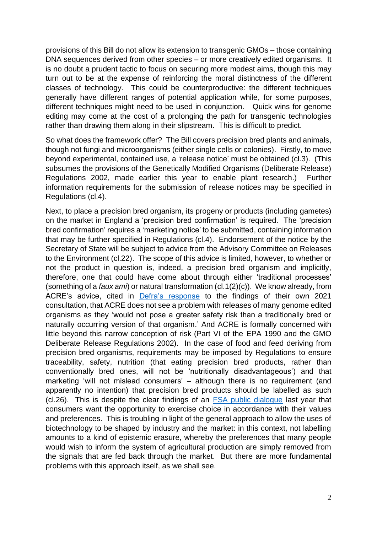provisions of this Bill do not allow its extension to transgenic GMOs – those containing DNA sequences derived from other species – or more creatively edited organisms. It is no doubt a prudent tactic to focus on securing more modest aims, though this may turn out to be at the expense of reinforcing the moral distinctness of the different classes of technology. This could be counterproductive: the different techniques generally have different ranges of potential application while, for some purposes, different techniques might need to be used in conjunction. Quick wins for genome editing may come at the cost of a prolonging the path for transgenic technologies rather than drawing them along in their slipstream. This is difficult to predict.

So what does the framework offer? The Bill covers precision bred plants and animals, though not fungi and microorganisms (either single cells or colonies). Firstly, to move beyond experimental, contained use, a 'release notice' must be obtained (cl.3). (This subsumes the provisions of the Genetically Modified Organisms (Deliberate Release) Regulations 2002, made earlier this year to enable plant research.) Further information requirements for the submission of release notices may be specified in Regulations (cl.4).

Next, to place a precision bred organism, its progeny or products (including gametes) on the market in England a 'precision bred confirmation' is required. The 'precision bred confirmation' requires a 'marketing notice' to be submitted, containing information that may be further specified in Regulations (cl.4). Endorsement of the notice by the Secretary of State will be subject to advice from the Advisory Committee on Releases to the Environment (cl.22). The scope of this advice is limited, however, to whether or not the product in question is, indeed, a precision bred organism and implicitly, therefore, one that could have come about through either 'traditional processes' (something of a *faux ami*) or natural transformation (cl.1(2)(c)). We know already, from ACRE's advice, cited in [Defra's response](https://www.gov.uk/government/consultations/genetic-technologies-regulation/outcome/genetic-technologies-regulation-government-response) to the findings of their own 2021 consultation, that ACRE does not see a problem with releases of many genome edited organisms as they 'would not pose a greater safety risk than a traditionally bred or naturally occurring version of that organism.' And ACRE is formally concerned with little beyond this narrow conception of risk (Part VI of the EPA 1990 and the GMO Deliberate Release Regulations 2002). In the case of food and feed deriving from precision bred organisms, requirements may be imposed by Regulations to ensure traceability, safety, nutrition (that eating precision bred products, rather than conventionally bred ones, will not be 'nutritionally disadvantageous') and that marketing 'will not mislead consumers' – although there is no requirement (and apparently no intention) that precision bred products should be labelled as such (cl.26). This is despite the clear findings of an [FSA public dialogue](https://www.food.gov.uk/research/behaviour-and-perception/consumer-perceptions-of-genome-edited-food) last year that consumers want the opportunity to exercise choice in accordance with their values and preferences. This is troubling in light of the general approach to allow the uses of biotechnology to be shaped by industry and the market: in this context, not labelling amounts to a kind of epistemic erasure, whereby the preferences that many people would wish to inform the system of agricultural production are simply removed from the signals that are fed back through the market. But there are more fundamental problems with this approach itself, as we shall see.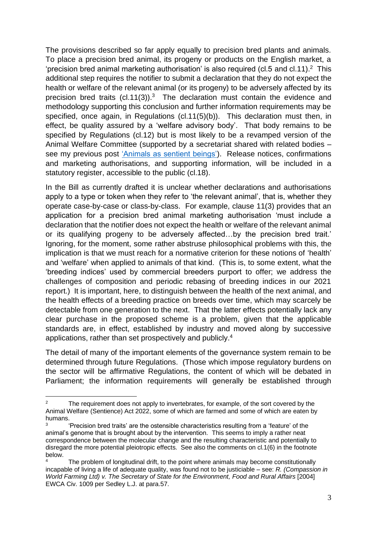The provisions described so far apply equally to precision bred plants and animals. To place a precision bred animal, its progeny or products on the English market, a 'precision bred animal marketing authorisation' is also required (cl.5 and cl.11).<sup>2</sup> This additional step requires the notifier to submit a declaration that they do not expect the health or welfare of the relevant animal (or its progeny) to be adversely affected by its precision bred traits  $(cl.11(3))$ .<sup>3</sup> The declaration must contain the evidence and methodology supporting this conclusion and further information requirements may be specified, once again, in Regulations (cl.11(5)(b)). This declaration must then, in effect, be quality assured by a 'welfare advisory body'. That body remains to be specified by Regulations (cl.12) but is most likely to be a revamped version of the Animal Welfare Committee (supported by a secretariat shared with related bodies – see my previous post ['Animals as sentient beings'\)](https://www.nuffieldbioethics.org/blog/animals-as-sentient-beings). Release notices, confirmations and marketing authorisations, and supporting information, will be included in a statutory register, accessible to the public (cl.18).

In the Bill as currently drafted it is unclear whether declarations and authorisations apply to a type or token when they refer to 'the relevant animal', that is, whether they operate case-by-case or class-by-class. For example, clause 11(3) provides that an application for a precision bred animal marketing authorisation 'must include a declaration that the notifier does not expect the health or welfare of the relevant animal or its qualifying progeny to be adversely affected…by the precision bred trait.' Ignoring, for the moment, some rather abstruse philosophical problems with this, the implication is that we must reach for a normative criterion for these notions of 'health' and 'welfare' when applied to animals of that kind. (This is, to some extent, what the 'breeding indices' used by commercial breeders purport to offer; we address the challenges of composition and periodic rebasing of breeding indices in our 2021 report.) It is important, here, to distinguish between the health of the next animal, and the health effects of a breeding practice on breeds over time, which may scarcely be detectable from one generation to the next. That the latter effects potentially lack any clear purchase in the proposed scheme is a problem, given that the applicable standards are, in effect, established by industry and moved along by successive applications, rather than set prospectively and publicly. 4

The detail of many of the important elements of the governance system remain to be determined through future Regulations. (Those which impose regulatory burdens on the sector will be affirmative Regulations, the content of which will be debated in Parliament; the information requirements will generally be established through

<sup>&</sup>lt;sup>2</sup> The requirement does not apply to invertebrates, for example, of the sort covered by the Animal Welfare (Sentience) Act 2022, some of which are farmed and some of which are eaten by humans.

<sup>3</sup> 'Precision bred traits' are the ostensible characteristics resulting from a 'feature' of the animal's genome that is brought about by the intervention. This seems to imply a rather neat correspondence between the molecular change and the resulting characteristic and potentially to disregard the more potential pleiotropic effects. See also the comments on cl.1(6) in the footnote below.

The problem of longitudinal drift, to the point where animals may become constitutionally incapable of living a life of adequate quality, was found not to be justiciable – see: *R. (Compassion in World Farming Ltd) v. The Secretary of State for the Environment, Food and Rural Affairs* [2004] EWCA Civ. 1009 per Sedley L.J. at para.57.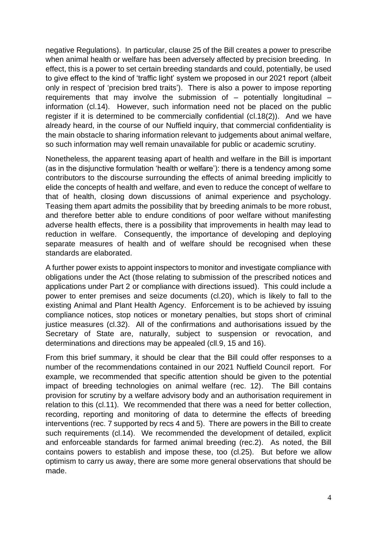negative Regulations). In particular, clause 25 of the Bill creates a power to prescribe when animal health or welfare has been adversely affected by precision breeding. In effect, this is a power to set certain breeding standards and could, potentially, be used to give effect to the kind of 'traffic light' system we proposed in our 2021 report (albeit only in respect of 'precision bred traits'). There is also a power to impose reporting requirements that may involve the submission of  $-$  potentially longitudinal  $$ information (cl.14). However, such information need not be placed on the public register if it is determined to be commercially confidential (cl.18(2)). And we have already heard, in the course of our Nuffield inquiry, that commercial confidentiality is the main obstacle to sharing information relevant to judgements about animal welfare, so such information may well remain unavailable for public or academic scrutiny.

Nonetheless, the apparent teasing apart of health and welfare in the Bill is important (as in the disjunctive formulation 'health or welfare'): there is a tendency among some contributors to the discourse surrounding the effects of animal breeding implicitly to elide the concepts of health and welfare, and even to reduce the concept of welfare to that of health, closing down discussions of animal experience and psychology. Teasing them apart admits the possibility that by breeding animals to be more robust, and therefore better able to endure conditions of poor welfare without manifesting adverse health effects, there is a possibility that improvements in health may lead to reduction in welfare. Consequently, the importance of developing and deploying separate measures of health and of welfare should be recognised when these standards are elaborated.

A further power exists to appoint inspectors to monitor and investigate compliance with obligations under the Act (those relating to submission of the prescribed notices and applications under Part 2 or compliance with directions issued). This could include a power to enter premises and seize documents (cl.20), which is likely to fall to the existing Animal and Plant Health Agency. Enforcement is to be achieved by issuing compliance notices, stop notices or monetary penalties, but stops short of criminal justice measures (cl.32). All of the confirmations and authorisations issued by the Secretary of State are, naturally, subject to suspension or revocation, and determinations and directions may be appealed (cll.9, 15 and 16).

From this brief summary, it should be clear that the Bill could offer responses to a number of the recommendations contained in our 2021 Nuffield Council report. For example, we recommended that specific attention should be given to the potential impact of breeding technologies on animal welfare (rec. 12). The Bill contains provision for scrutiny by a welfare advisory body and an authorisation requirement in relation to this (cl.11). We recommended that there was a need for better collection, recording, reporting and monitoring of data to determine the effects of breeding interventions (rec. 7 supported by recs 4 and 5). There are powers in the Bill to create such requirements (cl.14). We recommended the development of detailed, explicit and enforceable standards for farmed animal breeding (rec.2). As noted, the Bill contains powers to establish and impose these, too (cl.25). But before we allow optimism to carry us away, there are some more general observations that should be made.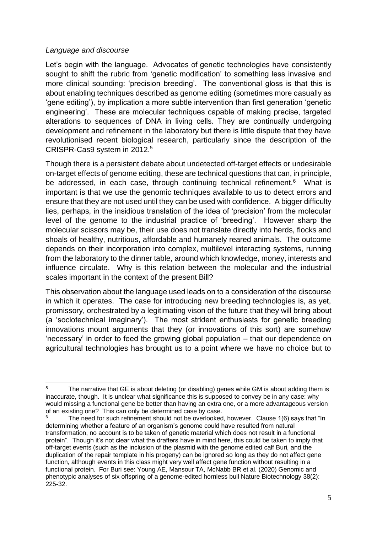### *Language and discourse*

Let's begin with the language. Advocates of genetic technologies have consistently sought to shift the rubric from 'genetic modification' to something less invasive and more clinical sounding: 'precision breeding'. The conventional gloss is that this is about enabling techniques described as genome editing (sometimes more casually as 'gene editing'), by implication a more subtle intervention than first generation 'genetic engineering'. These are molecular techniques capable of making precise, targeted alterations to sequences of DNA in living cells. They are continually undergoing development and refinement in the laboratory but there is little dispute that they have revolutionised recent biological research, particularly since the description of the CRISPR-Cas9 system in 2012.<sup>5</sup>

Though there is a persistent debate about undetected off-target effects or undesirable on-target effects of genome editing, these are technical questions that can, in principle, be addressed, in each case, through continuing technical refinement.<sup>6</sup> What is important is that we use the genomic techniques available to us to detect errors and ensure that they are not used until they can be used with confidence. A bigger difficulty lies, perhaps, in the insidious translation of the idea of 'precision' from the molecular level of the genome to the industrial practice of 'breeding'. However sharp the molecular scissors may be, their use does not translate directly into herds, flocks and shoals of healthy, nutritious, affordable and humanely reared animals. The outcome depends on their incorporation into complex, multilevel interacting systems, running from the laboratory to the dinner table, around which knowledge, money, interests and influence circulate. Why is this relation between the molecular and the industrial scales important in the context of the present Bill?

This observation about the language used leads on to a consideration of the discourse in which it operates. The case for introducing new breeding technologies is, as yet, promissory, orchestrated by a legitimating vison of the future that they will bring about (a 'sociotechnical imaginary'). The most strident enthusiasts for genetic breeding innovations mount arguments that they (or innovations of this sort) are somehow 'necessary' in order to feed the growing global population – that our dependence on agricultural technologies has brought us to a point where we have no choice but to

<sup>&</sup>lt;sup>5</sup> The narrative that GE is about deleting (or disabling) genes while GM is about adding them is inaccurate, though. It is unclear what significance this is supposed to convey be in any case: why would missing a functional gene be better than having an extra one, or a more advantageous version of an existing one? This can only be determined case by case.

<sup>&</sup>lt;sup>6</sup> The need for such refinement should not be overlooked, however. Clause  $1(6)$  says that "In determining whether a feature of an organism's genome could have resulted from natural transformation, no account is to be taken of genetic material which does not result in a functional protein". Though it's not clear what the drafters have in mind here, this could be taken to imply that off-target events (such as the inclusion of the plasmid with the genome edited calf Buri, and the duplication of the repair template in his progeny) can be ignored so long as they do not affect gene function, although events in this class might very well affect gene function without resulting in a functional protein. For Buri see: Young AE, Mansour TA, McNabb BR et al. (2020) Genomic and phenotypic analyses of six offspring of a genome-edited hornless bull Nature Biotechnology 38(2): 225-32.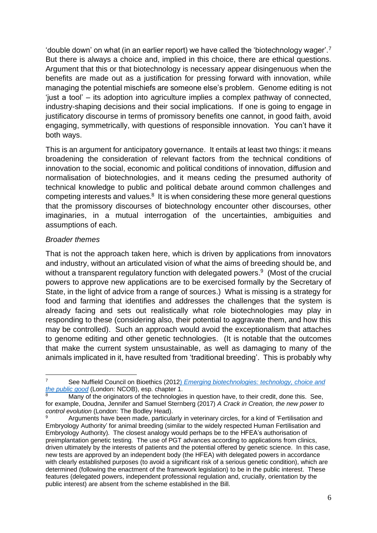'double down' on what (in an earlier report) we have called the 'biotechnology wager'.<sup>7</sup> But there is always a choice and, implied in this choice, there are ethical questions. Argument that this or that biotechnology is necessary appear disingenuous when the benefits are made out as a justification for pressing forward with innovation, while managing the potential mischiefs are someone else's problem. Genome editing is not 'just a tool' – its adoption into agriculture implies a complex pathway of connected, industry-shaping decisions and their social implications. If one is going to engage in justificatory discourse in terms of promissory benefits one cannot, in good faith, avoid engaging, symmetrically, with questions of responsible innovation. You can't have it both ways.

This is an argument for anticipatory governance. It entails at least two things: it means broadening the consideration of relevant factors from the technical conditions of innovation to the social, economic and political conditions of innovation, diffusion and normalisation of biotechnologies, and it means ceding the presumed authority of technical knowledge to public and political debate around common challenges and competing interests and values.<sup>8</sup> It is when considering these more general questions that the promissory discourses of biotechnology encounter other discourses, other imaginaries, in a mutual interrogation of the uncertainties, ambiguities and assumptions of each.

### *Broader themes*

That is not the approach taken here, which is driven by applications from innovators and industry, without an articulated vision of what the aims of breeding should be, and without a transparent regulatory function with delegated powers.<sup>9</sup> (Most of the crucial powers to approve new applications are to be exercised formally by the Secretary of State, in the light of advice from a range of sources.) What is missing is a strategy for food and farming that identifies and addresses the challenges that the system is already facing and sets out realistically what role biotechnologies may play in responding to these (considering also, their potential to aggravate them, and how this may be controlled). Such an approach would avoid the exceptionalism that attaches to genome editing and other genetic technologies. (It is notable that the outcomes that make the current system unsustainable, as well as damaging to many of the animals implicated in it, have resulted from 'traditional breeding'. This is probably why

<sup>7</sup> See Nuffield Council on Bioethics (2012) *[Emerging biotechnologies: technology, choice and](file:///C:/Users/pmills/Downloads/Emerging_biotechnologies_full_report_web_0.pdf)  [the public good](file:///C:/Users/pmills/Downloads/Emerging_biotechnologies_full_report_web_0.pdf)* (London: NCOB), esp. chapter 1.

<sup>8</sup> Many of the originators of the technologies in question have, to their credit, done this. See, for example, Doudna, Jennifer and Samuel Sternberg (2017) *A Crack in Creation, the new power to control evolution* (London: The Bodley Head).

<sup>9</sup> Arguments have been made, particularly in veterinary circles, for a kind of 'Fertilisation and Embryology Authority' for animal breeding (similar to the widely respected Human Fertilisation and Embryology Authority). The closest analogy would perhaps be to the HFEA's authorisation of preimplantation genetic testing. The use of PGT advances according to applications from clinics, driven ultimately by the interests of patients and the potential offered by genetic science. In this case, new tests are approved by an independent body (the HFEA) with delegated powers in accordance with clearly established purposes (to avoid a significant risk of a serious genetic condition), which are determined (following the enactment of the framework legislation) to be in the public interest. These features (delegated powers, independent professional regulation and, crucially, orientation by the public interest) are absent from the scheme established in the Bill.